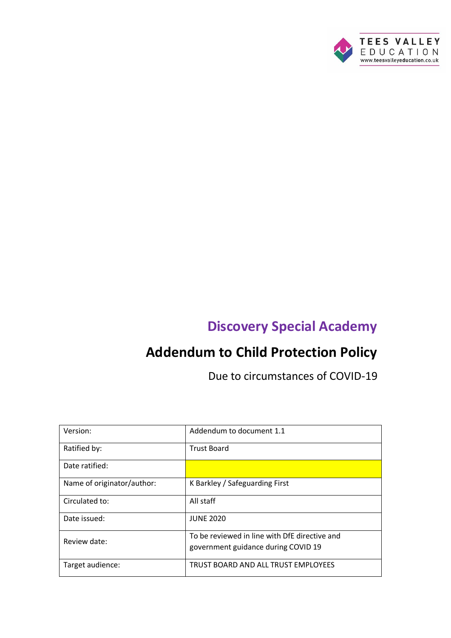

# **Discovery Special Academy**

# **Addendum to Child Protection Policy**

Due to circumstances of COVID-19

| Version:                   | Addendum to document 1.1                                                             |
|----------------------------|--------------------------------------------------------------------------------------|
| Ratified by:               | <b>Trust Board</b>                                                                   |
| Date ratified:             |                                                                                      |
| Name of originator/author: | K Barkley / Safeguarding First                                                       |
| Circulated to:             | All staff                                                                            |
| Date issued:               | <b>JUNE 2020</b>                                                                     |
| Review date:               | To be reviewed in line with DfE directive and<br>government guidance during COVID 19 |
| Target audience:           | TRUST BOARD AND ALL TRUST EMPLOYEES                                                  |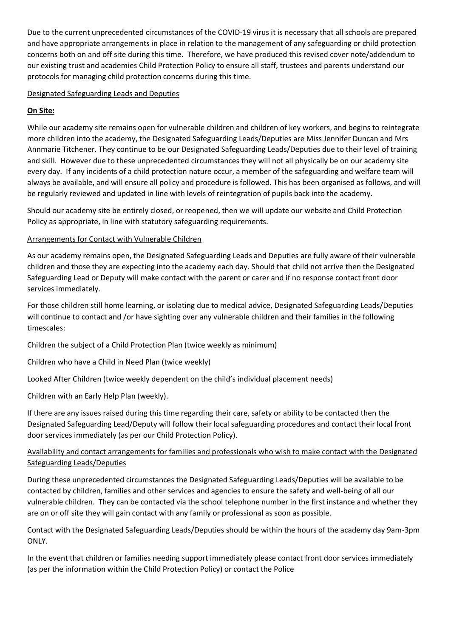Due to the current unprecedented circumstances of the COVID-19 virus it is necessary that all schools are prepared and have appropriate arrangements in place in relation to the management of any safeguarding or child protection concerns both on and off site during this time. Therefore, we have produced this revised cover note/addendum to our existing trust and academies Child Protection Policy to ensure all staff, trustees and parents understand our protocols for managing child protection concerns during this time.

## Designated Safeguarding Leads and Deputies

# **On Site:**

While our academy site remains open for vulnerable children and children of key workers, and begins to reintegrate more children into the academy, the Designated Safeguarding Leads/Deputies are Miss Jennifer Duncan and Mrs Annmarie Titchener. They continue to be our Designated Safeguarding Leads/Deputies due to their level of training and skill. However due to these unprecedented circumstances they will not all physically be on our academy site every day. If any incidents of a child protection nature occur, a member of the safeguarding and welfare team will always be available, and will ensure all policy and procedure is followed. This has been organised as follows, and will be regularly reviewed and updated in line with levels of reintegration of pupils back into the academy.

Should our academy site be entirely closed, or reopened, then we will update our website and Child Protection Policy as appropriate, in line with statutory safeguarding requirements.

### Arrangements for Contact with Vulnerable Children

As our academy remains open, the Designated Safeguarding Leads and Deputies are fully aware of their vulnerable children and those they are expecting into the academy each day. Should that child not arrive then the Designated Safeguarding Lead or Deputy will make contact with the parent or carer and if no response contact front door services immediately.

For those children still home learning, or isolating due to medical advice, Designated Safeguarding Leads/Deputies will continue to contact and /or have sighting over any vulnerable children and their families in the following timescales:

Children the subject of a Child Protection Plan (twice weekly as minimum)

Children who have a Child in Need Plan (twice weekly)

Looked After Children (twice weekly dependent on the child's individual placement needs)

Children with an Early Help Plan (weekly).

If there are any issues raised during this time regarding their care, safety or ability to be contacted then the Designated Safeguarding Lead/Deputy will follow their local safeguarding procedures and contact their local front door services immediately (as per our Child Protection Policy).

# Availability and contact arrangements for families and professionals who wish to make contact with the Designated Safeguarding Leads/Deputies

During these unprecedented circumstances the Designated Safeguarding Leads/Deputies will be available to be contacted by children, families and other services and agencies to ensure the safety and well-being of all our vulnerable children. They can be contacted via the school telephone number in the first instance and whether they are on or off site they will gain contact with any family or professional as soon as possible.

Contact with the Designated Safeguarding Leads/Deputies should be within the hours of the academy day 9am-3pm ONLY.

In the event that children or families needing support immediately please contact front door services immediately (as per the information within the Child Protection Policy) or contact the Police